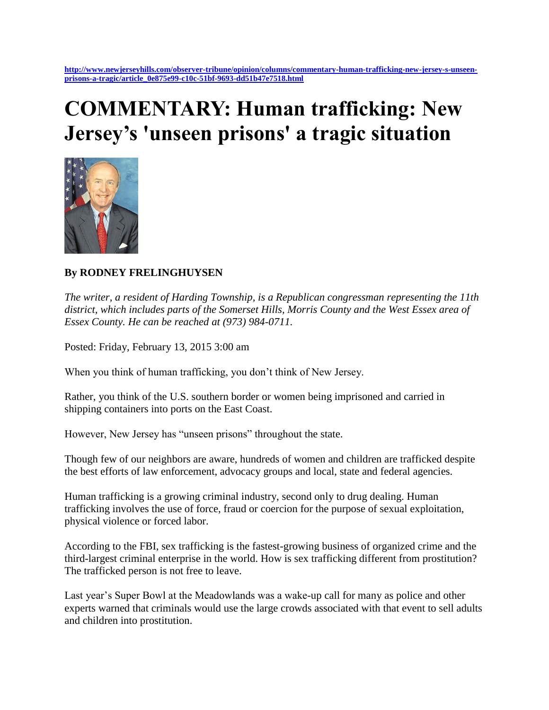## **COMMENTARY: Human trafficking: New Jersey's 'unseen prisons' a tragic situation**



## **By RODNEY FRELINGHUYSEN**

*The writer, a resident of Harding Township, is a Republican congressman representing the 11th district, which includes parts of the Somerset Hills, Morris County and the West Essex area of Essex County. He can be reached at (973) 984-0711.*

Posted: Friday, February 13, 2015 3:00 am

When you think of human trafficking, you don't think of New Jersey.

Rather, you think of the U.S. southern border or women being imprisoned and carried in shipping containers into ports on the East Coast.

However, New Jersey has "unseen prisons" throughout the state.

Though few of our neighbors are aware, hundreds of women and children are trafficked despite the best efforts of law enforcement, advocacy groups and local, state and federal agencies.

Human trafficking is a growing criminal industry, second only to drug dealing. Human trafficking involves the use of force, fraud or coercion for the purpose of sexual exploitation, physical violence or forced labor.

According to the FBI, sex trafficking is the fastest-growing business of organized crime and the third-largest criminal enterprise in the world. How is sex trafficking different from prostitution? The trafficked person is not free to leave.

Last year's Super Bowl at the Meadowlands was a wake-up call for many as police and other experts warned that criminals would use the large crowds associated with that event to sell adults and children into prostitution.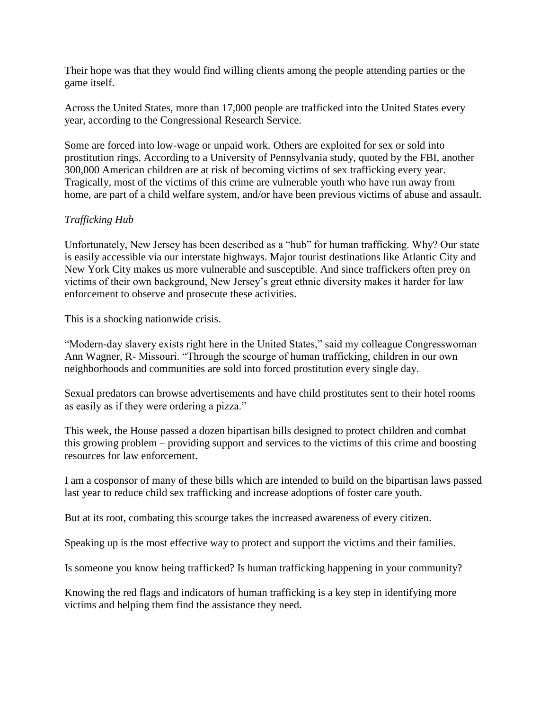Their hope was that they would find willing clients among the people attending parties or the game itself.

Across the United States, more than 17,000 people are trafficked into the United States every year, according to the Congressional Research Service.

Some are forced into low-wage or unpaid work. Others are exploited for sex or sold into prostitution rings. According to a University of Pennsylvania study, quoted by the FBI, another 300,000 American children are at risk of becoming victims of sex trafficking every year. Tragically, most of the victims of this crime are vulnerable youth who have run away from home, are part of a child welfare system, and/or have been previous victims of abuse and assault.

## *Trafficking Hub*

Unfortunately, New Jersey has been described as a "hub" for human trafficking. Why? Our state is easily accessible via our interstate highways. Major tourist destinations like Atlantic City and New York City makes us more vulnerable and susceptible. And since traffickers often prey on victims of their own background, New Jersey's great ethnic diversity makes it harder for law enforcement to observe and prosecute these activities.

This is a shocking nationwide crisis.

"Modern-day slavery exists right here in the United States," said my colleague Congresswoman Ann Wagner, R- Missouri. "Through the scourge of human trafficking, children in our own neighborhoods and communities are sold into forced prostitution every single day.

Sexual predators can browse advertisements and have child prostitutes sent to their hotel rooms as easily as if they were ordering a pizza."

This week, the House passed a dozen bipartisan bills designed to protect children and combat this growing problem – providing support and services to the victims of this crime and boosting resources for law enforcement.

I am a cosponsor of many of these bills which are intended to build on the bipartisan laws passed last year to reduce child sex trafficking and increase adoptions of foster care youth.

But at its root, combating this scourge takes the increased awareness of every citizen.

Speaking up is the most effective way to protect and support the victims and their families.

Is someone you know being trafficked? Is human trafficking happening in your community?

Knowing the red flags and indicators of human trafficking is a key step in identifying more victims and helping them find the assistance they need.